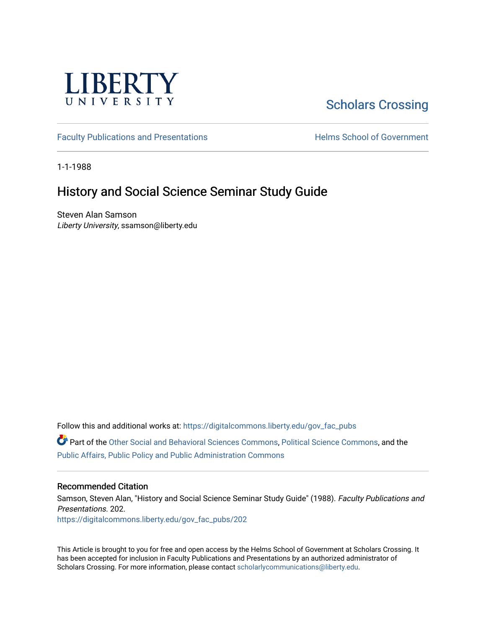

# [Scholars Crossing](https://digitalcommons.liberty.edu/)

[Faculty Publications and Presentations](https://digitalcommons.liberty.edu/gov_fac_pubs) **Exercise School of Government** 

1-1-1988

## History and Social Science Seminar Study Guide

Steven Alan Samson Liberty University, ssamson@liberty.edu

Follow this and additional works at: [https://digitalcommons.liberty.edu/gov\\_fac\\_pubs](https://digitalcommons.liberty.edu/gov_fac_pubs?utm_source=digitalcommons.liberty.edu%2Fgov_fac_pubs%2F202&utm_medium=PDF&utm_campaign=PDFCoverPages)

Part of the [Other Social and Behavioral Sciences Commons](http://network.bepress.com/hgg/discipline/437?utm_source=digitalcommons.liberty.edu%2Fgov_fac_pubs%2F202&utm_medium=PDF&utm_campaign=PDFCoverPages), [Political Science Commons](http://network.bepress.com/hgg/discipline/386?utm_source=digitalcommons.liberty.edu%2Fgov_fac_pubs%2F202&utm_medium=PDF&utm_campaign=PDFCoverPages), and the [Public Affairs, Public Policy and Public Administration Commons](http://network.bepress.com/hgg/discipline/393?utm_source=digitalcommons.liberty.edu%2Fgov_fac_pubs%2F202&utm_medium=PDF&utm_campaign=PDFCoverPages)

### Recommended Citation

Samson, Steven Alan, "History and Social Science Seminar Study Guide" (1988). Faculty Publications and Presentations. 202. [https://digitalcommons.liberty.edu/gov\\_fac\\_pubs/202](https://digitalcommons.liberty.edu/gov_fac_pubs/202?utm_source=digitalcommons.liberty.edu%2Fgov_fac_pubs%2F202&utm_medium=PDF&utm_campaign=PDFCoverPages)

This Article is brought to you for free and open access by the Helms School of Government at Scholars Crossing. It has been accepted for inclusion in Faculty Publications and Presentations by an authorized administrator of Scholars Crossing. For more information, please contact [scholarlycommunications@liberty.edu.](mailto:scholarlycommunications@liberty.edu)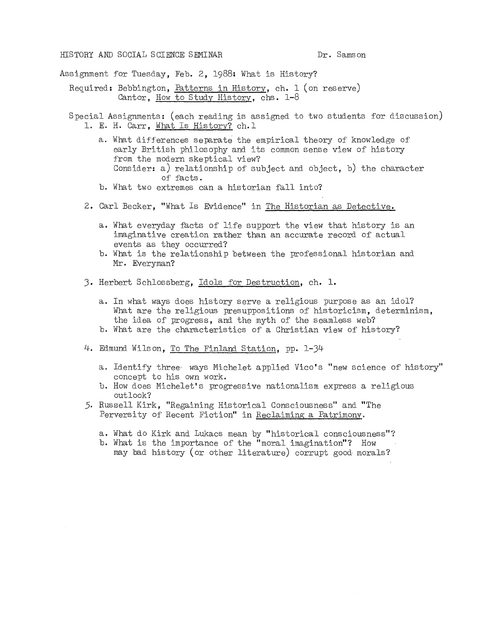#### HISTORY AND SOCIAL SCIENCE SEMINAR Dr. Samson

Assignment Tor Tuesday, Feb. 2, 1988: What is History?

- Required: Bebbington, Patterns in History, ch. 1 (on reserve) Cantor, How to Study History, chs. 1-8
- Special Assignments: (each reading is assigned to two students for discussion) 1. E. H. Carr, What Is History? ch. 1
	- a. What differences separate the empirical theory of knowledge of early British philosophy and its common sense view of history from the modern skeptical view? Consider: a) relationship of subject and object, b) the character of facts. b. What two extremes can a historian fall into?
	-
	- 2. Carl Becker, "What Is Evidence" in The Historian as Detective.
		- a. What everyday facts of life support the view that history is an imaginative creation rather than an accurate record of actual events as they occurred?
		- b. What is the relationship between the professional historian and Mr. Everyman?
	- 3. Herbert Schlossberg, Idols for Destruction, ch. 1.
		- a. In what ways does history serve a religious purpose as an idol? What are the religious presuppositions of historicism, determinism, the idea of progress, and the myth of the seamless web?
		- b. What are the characteristics of a Christian view of history?
	- 4. Edmund Wilson, To The Finland Station, pp. 1-34
		- a. Identify three' ways Michelet applied Vico's "new science of history" concept to his own work.
		- b. How does Michelet's progressive nationalism express a religious outlook?
	- 5. Russell Kirk, "Regaining Historical Consciousness" and "The Perversity of Recent Fiction" in Reclaiming a Patrimony.
		- a. What do Kirk and Lukacs mean by "historical consciousness"?
		- b. What is the importance of the "moral imagination"? How may bad history (or other literature) corrupt good morals?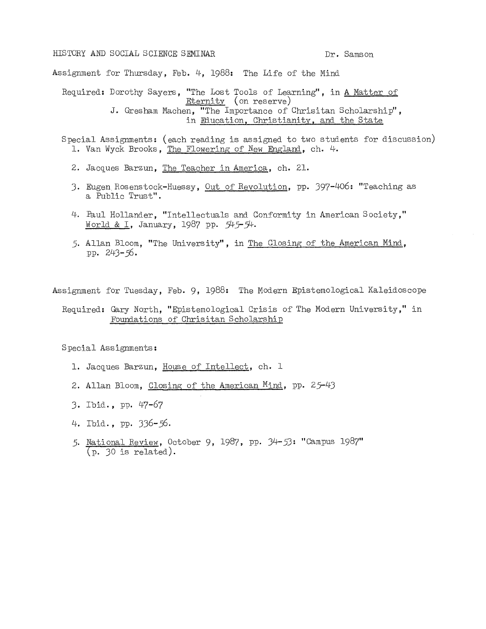#### HISTORY AND SOCIAL SCIENCE SEMINAR DR. Samson

Assignment for Thursday, Feb. 4, 1988: The Life of the Mind

Required: Dorothy Sayers, "The Lost Tools of Learning", in A Matter of Eternity (on reserve) J. Gresham Machen, "The Importance of Chrisitan Scholarship", in Education, Christianity. and the State

Special Assignments: (each reading is assigned to two students for discussion) 1. Van Wyck Brooks, The Flowering of New England, ch. 4.

- 2. Jacques Barzun, The Teacher in America, ch. 21.
- 3. Eugen Rosenstock-Huessy, <u>Out of Revolution</u>, pp. 397-406: "Teaching as a Public Trust".
- 4. Paul Hollander, "Intellectuals and Conformity in American Society," World & I, January, 1987 pp. 545-54.
- 5. Allan Bloom, "The University", in The Closing of the American Mind, pp. 243-56·

Assignment for Tuesday, Feb. 9, 1988: The Modern Epistemological Kaleidoscope

#### Required: Gary North, "Epistemological Crisis of The Modern University," in Foundations of Chrisitan Scholarship

Special Assignments:

- 1. Jacques Barzun, House of Intellect, ch. 1
- 2. Allan Bloom, Closing of the American Mind, pp. 25-43
- 3. Ibid., pp. 47-67
- 4. Ibid., pp. 336-56·
- 5. National Review, October 9, 1987, pp. 34-53: "Campus 1987" (p. 30 is related).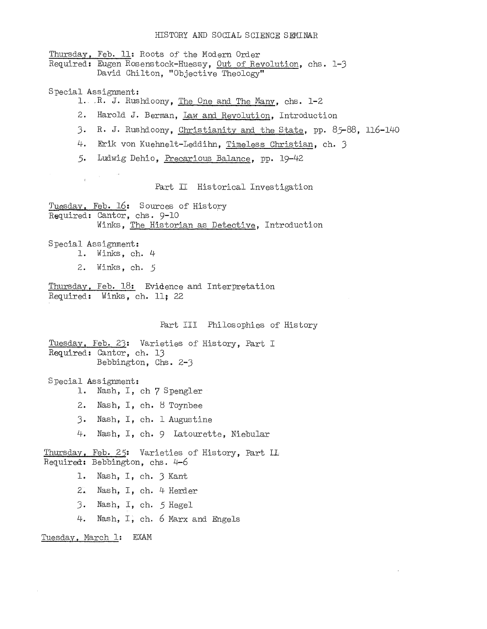#### HISTORY AND SOCIAL SCIENCE SEMINAR

Thursday. Feb. 11: Roots *of* the Modern Order Required: Eugen Rosenstock-Huessy, Out of Revolution, chs. 1-3 David Chilton, "Objective Theology" Special Assignment: 1. .R. J. Rushdoony, The One and The Many, chs. 1-2 2. Harold J. Berman, Law and Revolution, Introduction 3. R. J. Rushdoony, Christianity and the State, pp. 85-88, 116-140 4. Erik von Kuehnelt-Leddihn, Timeless Christian, ch. 3 5. Ludwig Dehio, Precarious Balance, pp. 19-42  $\mathcal{L}_{\mathrm{F}}$  . Part II Historical Investigation Tuesday, Feb. 16: Sources of History Required: Cantor, chs. 9-10 Winks, The Historian as Detective, Introduction Special Assignment: 1. Winks, ch. 4 2. Winks, ch. 5 Thursday, Feb. 18: Evidence and Interpretation Required: Winks, ch. 11; 22 Part III Philosophies of History Tuesday. Feb. 23: Varieties of History, Part I Required: Cantor, ch. 13 Bebbington, Chs. 2-3 Special Assignment: 1. Nash, I, ch 7 Spengler 2. Nash, I, ch. 8 Toynbee 3. Nash, I, ch. 1 Augustine 4. Nash, I, ch. 9 Latourette, Niebular Thursday, Feb. 25: Varieties of History, Part II. Required: Bebbington, chs.  $4-6$ l. Nash, I, ch. 3 Kant 2. Nash, I, ch. 4 Herder 3· Nash, I, ch. 5 Hegel 4. Nash, I, ch. 6 Marx and Engels Tuesday, March 1: EXAM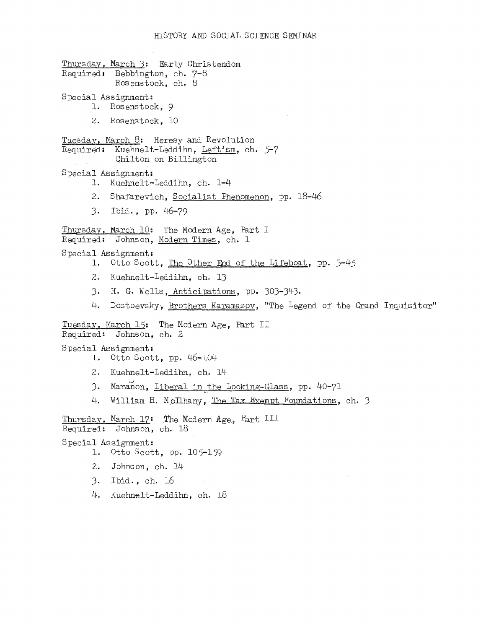```
Thursday. March 3: Early Christendom 
Required: Bebbington, ch. 7-8
           Rosenstock, ch. 8
Special Assignment: 
      1. Rosenstock, 9 
      2. Rosenstock, 10 
Tuesday, March 8: Heresy and Revolution 
Required: Kuehnelt-Leddihn, Leftism, ch. 5-7 
           Chilton on Billington 
Special Assignment: 
      1. Kuehnelt-Leddihn, ch. 1-4 
      2. Shafarevich, Socialist Phenomenon, pp. 18-46 
      J. Ibid., pp. 46-79 
Thursday. March 10: The Modern Age, Part I 
Required: Johnson, Modern Times, ch. 1 
Special Assignment: 
      1. Otto Scott, The Other End of the Lifeboat, pp. J-45 
      2. Kuehnelt-Leddihn, ch. IJ 
      J. H. G. Wells, Anticipations, pp. JOJ-J4J. 
      4. Dostoevsky, Brothers Karamazov, "The Legend of the Grand Inquisitor"
Tuesday, March 15: The Modern Age, Part II
Required: Johnson, ch. 2 
Special Assignment: 
      1. Otto Scott, pp. 46-104 
      2. Kuehnelt-Leddihn, ch. 14
      3. Maranon, <u>Liberal in the Looking-Glass</u>, pp. 40-71
      4. 
         William H. McIlhany, The Tax Exempt Foundations, ch. 3
Thursday, March 17: The Modern Age, Part III
Required: Johnson, ch. 18 
Special Assignment: 
      1. Otto Scott, pp. 105-159 
      2. Johnson, ch. 14 
      J. Ibid., ch. 16
```
4. Kuehnelt-Leddihn, ch. 18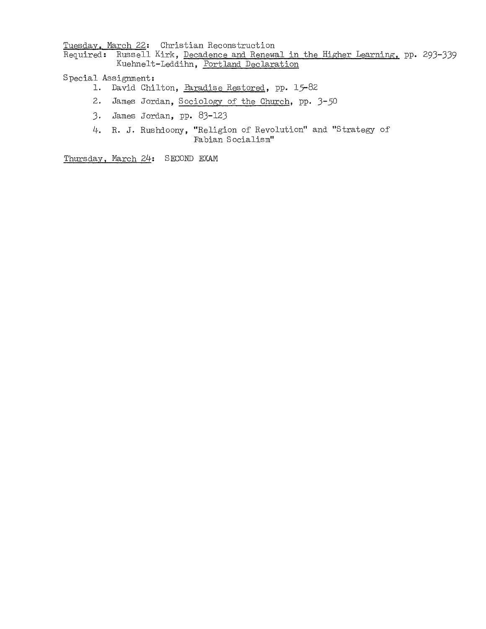Tuesday. March 22: Christian Reconstruction Required: Russell Kirk, Decadence and Renewal in the Higher Learning, pp. 293-339 Kuehnelt-Leddihn, Portland Declaration

#### Special Assignment:

- **1.** David Chilton, Faradise Restored, *pp. 15-82*
- 2. James Jordan, Sociology of the Church, *pp. 3-50*
- 3. James Jordan, *pp. 83-123*
- 4. **R.** J. Rushdoony, "Religion of Revolution" and "Strategy of Fabian Socialism"

Thursday. March 24: SECOND EXAM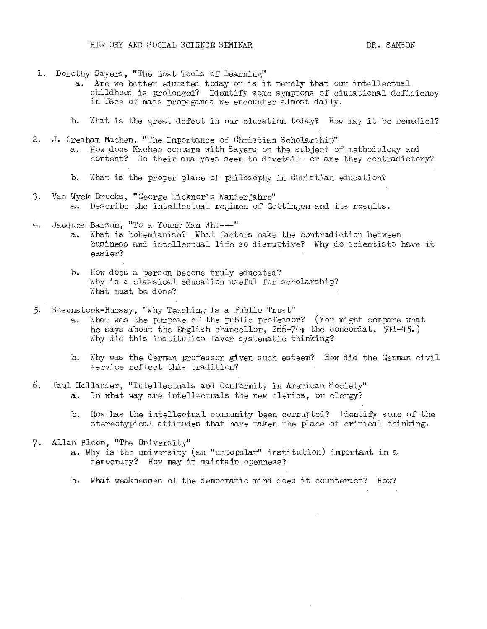- 1. Dorothy Sayers, "The Lost Tools of Learning"
	- a. Are we better educated today or is it merely that our intellectual childhood is prolonged? Identify some symptoms of educational deficiency in face of mass propaganda we encounter almost daily.
	- b. What is the great defect in our education today? How may it be remedied?
- 2. J. Gresham Machen, "The Importance of Christian Scholarship"
	- How does Machen compare with Sayers on the subject of methodology and content? Do their analyses seem to dovetail--or are they contradictory?
	- b. What is the proper place of philosophy in Christian education?
- 3. Van Wyck Brooks, "George Ticknor's Wanderjahre" a. Describe the intellectual regimen of Gottingen and its results.
- 4. Jacques Barzun, "To a Young Man Who---"
	- a. What is bOhemianism? What factors make the contradiction between business and intellectual life so disruptive? Why do scientists have it easier?
	- b. How does a person become truly educated? Why is a classical education useful for scholarship? What must be done?
- 5. Rosenstock-Huessy, "Why Teaching Is a Public Trust"
	- a. What was the purpose of the public professor? (You might compare what he says about the English chancellor,  $266-74$ ; the concordat,  $541-45$ .) Why did this institution favor systematic thinking?
	- b. Why was the German professor given such esteem? How did the German civil service reflect this tradition?
- 6. Paul Hollander, "Intellectuals and Conformity in American Society" a. In what way are intellectuals the new clerics, or clergy?
	- b. How has the intellectual community been corrupted? Identify some of the stereotypical attitudes that have taken the place of critical thinking.
- 7. Allan Bloom, "The University"
	- a. Why is the university (an "unpopular" institution) important in a democracy? How may it maintain openness?
	- b. What weaknesses of the democratic mind does it counteract? How?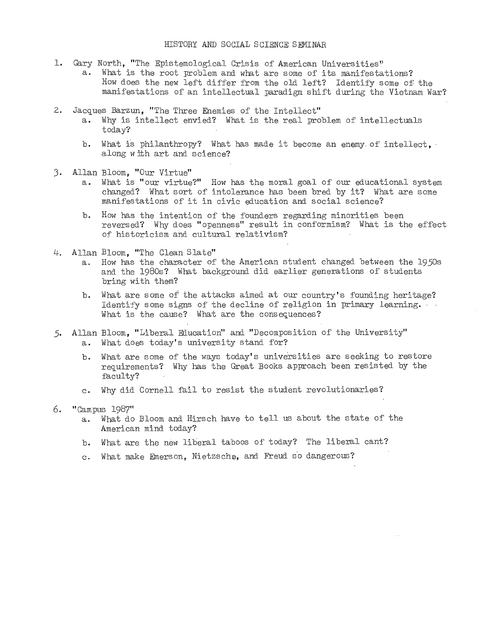- 1. Gary North, "The Epistemological Crisis of American Universities"
	- a. What is the root problem and what are some of its manifestations? How does the new left differ from the old left? Identify some of the manifestations of an intellectual paradigm shift during the Vietnam War?
- 2. Jacques Barzun, "The Three Enemies of the Intellect"
	- a. Why is intellect envied? What is the real problem of intellectuals today?
	- b. What is philanthropy? What has made it become an enemy of intellect, along with art and science?
- 3. Allan Bloom, "Our Virtue"
	- a. What is "our virtue?" How has the moral goal of our educational system changed? What sort of intolerance has been bred by it? What are some manifestations of it in civic education and social science?
	- b. How has the intention of the founders regarding minorities been reversed? Why does "openness" result in conformism? What is the effect of historicism and cultural relativism?
- 4. Allan Bloom, "The Clean Slate"
	- a. How has the character of the American student changed between the 1950s and the 1980s? What background did earlier generations of students bring with them?
	- b. What are some of the attacks aimed at our country's founding heritage? Identity some signs of the decline of religion in primary learning. ' What is the cause? What are the consequences?
- 5. Allan Bloom, "Liberal Education" and "Decomposition of the University" a. What dOes today's university stand for?
	- b. What are some of the ways today's universities are seeking to restore requirements? Why has the Great Books approach been resisted by the faculty?
	- c. Why did Cornell fail to resist the student revolutionaries?

#### 6. "Campus 1987"

- a. What do Bloom and Hirsch have to tell us about the state of the American mind today?
- b. What are the new liberal taboos of today? The liberal cant?
- c. What make Emerson, Nietzsche, and Freud s'o dangerous?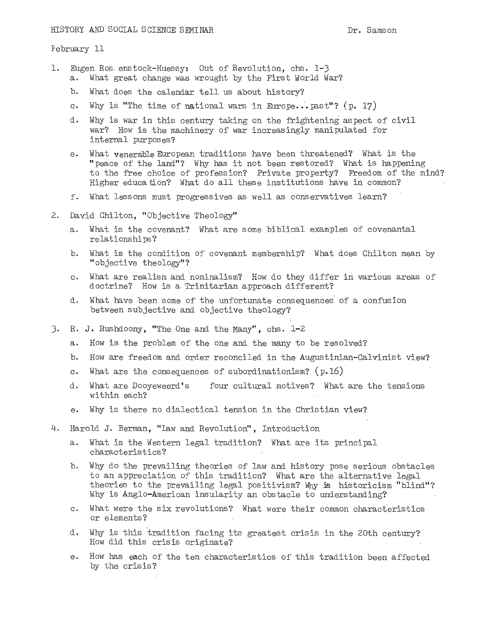February 11

- 1. Eugen Ros. enstock-Huessy: Out of Revolution, chs. 1-3 What great change was wrought by the First World War?
	- b. What does the calendar tell us about history?
	- c. Why is "The time of national wars in Europe . .'.past"? *(p. 17)*
	- d. Why is war in this century taking on the frightening aspect of civil war? How is the machinery of war increasingly manipulated for internal purposes?
	- e. What venerable European traditions have been threatened? What is the "peace of the land"? Why has it not been restored? What is happening to the free choice of profession? Private property? Freedom of the mind? Higher education? What do all these institutions have in common?
	- f. What lessons must progressives as well as conservatives learn?
- 2. David Chilton, "Objective Theology"
	- a. What is the covenant? What are some biblical examples of covenantal relationships?
	- b. What is the condition of covenant membership? What does Chilton mean by "objective theology"?
	- c. What are realism and nominalism? How do they differ in various areas of doctrine? How is a Trinitarian approach different?
	- d. What have been some of the unfortunate consequences' of a confusion between subjective and objective theology?
- 3. R. J. Rushdoony, "The One and the Many", chs. 1-2
	- a. How is the problem of the one and the many to be resolved?
	- b. How are freedom and order reconciled in the Augustinian-Calvinist view?
	- c. What are the consequences of subordinationism? (p.16)
	- d. What are Dooyeweerd's four cultural motives? What are the tensions within each?
	- e. Why is there no dialectical tension in the Christian view?
- 4. Harold J. Berman, "Law and Revolution", Introduction
	- a. What is the Western legal tradition? What are its principal characteristics?
	- b. Why do the prevailing theories of law and history pose serious obstacles to an appreciation of this tradition? What are the alternative legal theories to the prevailing legal positivism? Why is historicism "blind"? Why is Anglo-American insularity an obstacle to understanding?
	- c. What were the six revolutions? What were their common characteristics or elements?
	- d. Why is this tradition facing its greatest crisis in the 20th century? How did this crisis originate?
	- e. How has each of the ten characteristics of this tradition been affected by the crisis?